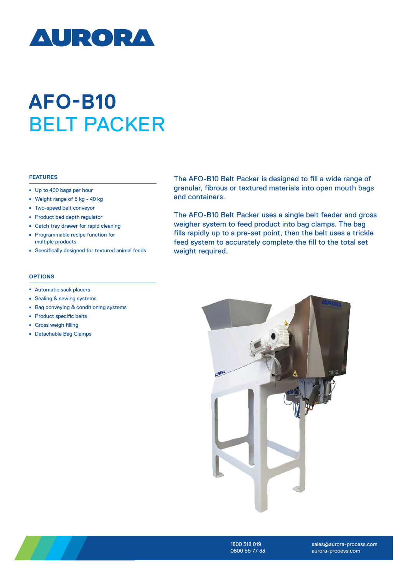

## **AFO-B10** BELT PACKER

## **FEATURES**

- Up to 400 bags per hour
- <sup>ȫ</sup> Weight range of 5 kg 40 kg
- <sup>ȫ</sup> Two-speed belt conveyor
- Product bed depth regulator
- Catch tray drawer for rapid cleaning
- <sup>ȫ</sup> Programmable recipe function for multiple products
- Specifically designed for textured animal feeds

The AFO-B10 Belt Packer is designed to fill a wide range of granular, fibrous or textured materials into open mouth bags and containers.

The AFO-B10 Belt Packer uses a single belt feeder and gross weigher system to feed product into bag clamps. The bag fills rapidly up to a pre-set point, then the belt uses a trickle feed system to accurately complete the fill to the total set weight required.

## **OPTIONS**

- Automatic sack placers
- Sealing & sewing systems
- Bag conveying & conditioning systems
- Product specific belts
- <sup>ȫ</sup> Gross weigh filling
- Detachable Bag Clamps





1800 318 019 0800 55 77 33

sales@aurora-process.com aurora-prcoess.com